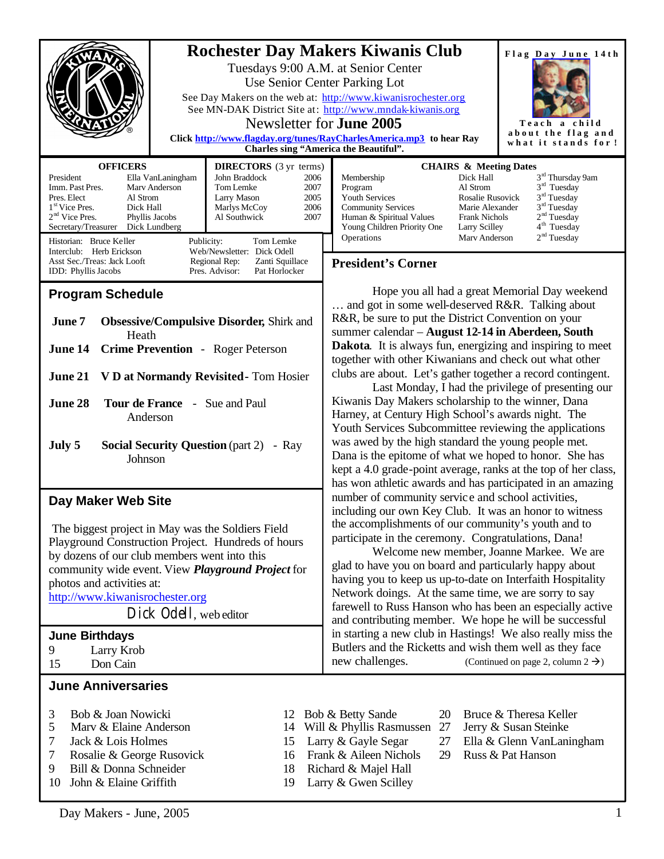|                                                                                                                                                                                                                                                                                                                                                                                                                                                                                                                 | <b>Rochester Day Makers Kiwanis Club</b><br>Flag Day June 14th<br>Tuesdays 9:00 A.M. at Senior Center<br>Use Senior Center Parking Lot<br>See Day Makers on the web at: http://www.kiwanisrochester.org<br>See MN-DAK District Site at: http://www.mndak-kiwanis.org<br>Newsletter for <b>June 2005</b><br>Teach a child<br>about the flag and<br>Click http://www.flagday.org/tunes/RayCharlesAmerica.mp3 to hear Ray<br>what it stands for !<br><b>Charles sing "America the Beautiful".</b>                                                                                                                                                                                                                                                                                                                                                                                            |
|-----------------------------------------------------------------------------------------------------------------------------------------------------------------------------------------------------------------------------------------------------------------------------------------------------------------------------------------------------------------------------------------------------------------------------------------------------------------------------------------------------------------|-------------------------------------------------------------------------------------------------------------------------------------------------------------------------------------------------------------------------------------------------------------------------------------------------------------------------------------------------------------------------------------------------------------------------------------------------------------------------------------------------------------------------------------------------------------------------------------------------------------------------------------------------------------------------------------------------------------------------------------------------------------------------------------------------------------------------------------------------------------------------------------------|
| <b>OFFICERS</b><br><b>DIRECTORS</b> (3 yr terms)<br>John Braddock<br>President<br>Ella VanLaningham<br>2006<br>Imm. Past Pres.<br>Tom Lemke<br>Mary Anderson<br>2007<br>Pres. Elect<br>Al Strom<br>Larry Mason<br>2005<br>1 <sup>st</sup> Vice Pres.<br>Dick Hall<br>2006<br>Marlys McCoy<br>$2nd$ Vice Pres.<br>Al Southwick<br>2007<br>Phyllis Jacobs<br>Secretary/Treasurer<br>Dick Lundberg<br>Historian: Bruce Keller<br>Publicity:<br>Tom Lemke<br>Interclub: Herb Erickson<br>Web/Newsletter: Dick Odell | <b>CHAIRS &amp; Meeting Dates</b><br>3 <sup>rd</sup> Thursday 9am<br>Dick Hall<br>Membership<br>$3rd$ Tuesday<br>Al Strom<br>Program<br>3 <sup>rd</sup> Tuesday<br>Rosalie Rusovick<br><b>Youth Services</b><br>3 <sup>rd</sup> Tuesday<br><b>Community Services</b><br>Marie Alexander<br>2 <sup>nd</sup> Tuesday<br>Human & Spiritual Values<br><b>Frank Nichols</b><br>4 <sup>th</sup> Tuesday<br>Young Children Priority One<br>Larry Scilley<br>2 <sup>nd</sup> Tuesday<br>Operations<br>Mary Anderson                                                                                                                                                                                                                                                                                                                                                                               |
| Asst Sec./Treas: Jack Looft<br>Regional Rep:<br>Zanti Squillace                                                                                                                                                                                                                                                                                                                                                                                                                                                 | <b>President's Corner</b>                                                                                                                                                                                                                                                                                                                                                                                                                                                                                                                                                                                                                                                                                                                                                                                                                                                                 |
| Pres. Advisor:<br>Pat Horlocker<br>IDD: Phyllis Jacobs<br><b>Program Schedule</b><br><b>Obsessive/Compulsive Disorder, Shirk and</b><br>June 7<br>Heath<br>Crime Prevention - Roger Peterson<br>June 14<br>June 21 V D at Normandy Revisited - Tom Hosier<br>June 28<br><b>Tour de France - Sue and Paul</b><br>Anderson<br>July 5<br><b>Social Security Question (part 2)</b><br>- Ray<br>Johnson                                                                                                              | Hope you all had a great Memorial Day weekend<br>and got in some well-deserved R&R. Talking about<br>R&R, be sure to put the District Convention on your<br>summer calendar - August 12-14 in Aberdeen, South<br><b>Dakota</b> . It is always fun, energizing and inspiring to meet<br>together with other Kiwanians and check out what other<br>clubs are about. Let's gather together a record contingent.<br>Last Monday, I had the privilege of presenting our<br>Kiwanis Day Makers scholarship to the winner, Dana<br>Harney, at Century High School's awards night. The<br>Youth Services Subcommittee reviewing the applications<br>was awed by the high standard the young people met.<br>Dana is the epitome of what we hoped to honor. She has<br>kept a 4.0 grade-point average, ranks at the top of her class,<br>has won athletic awards and has participated in an amazing |
| Day Maker Web Site<br>The biggest project in May was the Soldiers Field<br>Playground Construction Project. Hundreds of hours<br>by dozens of our club members went into this<br>community wide event. View <i>Playground Project</i> for<br>photos and activities at:<br>http://www.kiwanisrochester.org<br>Dick Odell, web editor<br><b>June Birthdays</b><br>9<br>Larry Krob<br>Don Cain<br>15                                                                                                               | number of community service and school activities,<br>including our own Key Club. It was an honor to witness<br>the accomplishments of our community's youth and to<br>participate in the ceremony. Congratulations, Dana!<br>Welcome new member, Joanne Markee. We are<br>glad to have you on board and particularly happy about<br>having you to keep us up-to-date on Interfaith Hospitality<br>Network doings. At the same time, we are sorry to say<br>farewell to Russ Hanson who has been an especially active<br>and contributing member. We hope he will be successful<br>in starting a new club in Hastings! We also really miss the<br>Butlers and the Ricketts and wish them well as they face<br>new challenges.<br>(Continued on page 2, column $2 \rightarrow$ )                                                                                                           |
|                                                                                                                                                                                                                                                                                                                                                                                                                                                                                                                 |                                                                                                                                                                                                                                                                                                                                                                                                                                                                                                                                                                                                                                                                                                                                                                                                                                                                                           |
| <b>June Anniversaries</b><br>3<br>Bob & Joan Nowicki<br>12<br>5<br>Marv & Elaine Anderson<br>14<br>7<br>Jack & Lois Holmes<br>15<br>7<br>Rosalie & George Rusovick<br>16<br>Bill & Donna Schneider<br>9<br>18                                                                                                                                                                                                                                                                                                   | Bruce & Theresa Keller<br>Bob & Betty Sande<br>20<br>Will & Phyllis Rasmussen<br>27<br>Jerry & Susan Steinke<br>Larry & Gayle Segar<br>27<br>Ella & Glenn VanLaningham<br>Frank & Aileen Nichols<br>Russ & Pat Hanson<br>29<br>Richard & Majel Hall                                                                                                                                                                                                                                                                                                                                                                                                                                                                                                                                                                                                                                       |

- Day Makers June, 2005 1
- 
- 10 John & Elaine Griffith 19 Larry & Gwen Scilley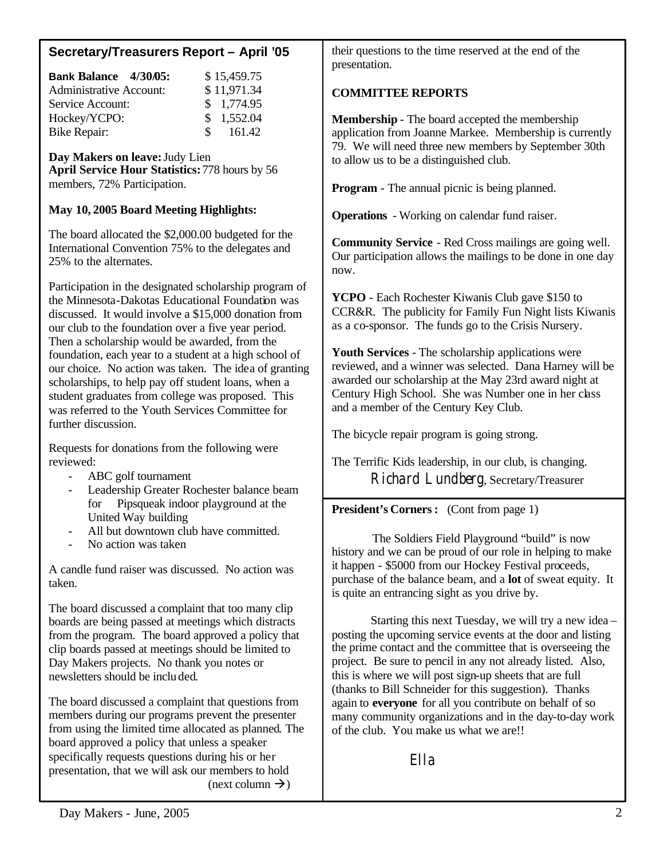# **Secretary/Treasurers Report – April '05**

| Bank Balance 4/30/05:          | \$15,459.75 |
|--------------------------------|-------------|
| <b>Administrative Account:</b> | \$11,971.34 |
| Service Account:               | \$1,774.95  |
| Hockey/YCPO:                   | \$1,552.04  |
| Bike Repair:                   | \$161.42    |

**Day Makers on leave:** Judy Lien **April Service Hour Statistics:** 778 hours by 56 members, 72% Participation.

## **May 10, 2005 Board Meeting Highlights:**

The board allocated the \$2,000.00 budgeted for the International Convention 75% to the delegates and 25% to the alternates.

Participation in the designated scholarship program of the Minnesota-Dakotas Educational Foundation was discussed. It would involve a \$15,000 donation from our club to the foundation over a five year period. Then a scholarship would be awarded, from the foundation, each year to a student at a high school of our choice. No action was taken. The idea of granting scholarships, to help pay off student loans, when a student graduates from college was proposed. This was referred to the Youth Services Committee for further discussion.

Requests for donations from the following were reviewed:

- ABC golf tournament
- Leadership Greater Rochester balance beam for Pipsqueak indoor playground at the United Way building
- All but downtown club have committed.
- No action was taken

A candle fund raiser was discussed. No action was taken.

The board discussed a complaint that too many clip boards are being passed at meetings which distracts from the program. The board approved a policy that clip boards passed at meetings should be limited to Day Makers projects. No thank you notes or newsletters should be included.

The board discussed a complaint that questions from members during our programs prevent the presenter from using the limited time allocated as planned. The board approved a policy that unless a speaker specifically requests questions during his or her presentation, that we will ask our members to hold (next column  $\rightarrow$ )

their questions to the time reserved at the end of the presentation.

# **COMMITTEE REPORTS**

**Membership** - The board accepted the membership application from Joanne Markee. Membership is currently 79. We will need three new members by September 30th to allow us to be a distinguished club.

**Program** - The annual picnic is being planned.

**Operations** - Working on calendar fund raiser.

**Community Service** - Red Cross mailings are going well. Our participation allows the mailings to be done in one day now.

**YCPO** - Each Rochester Kiwanis Club gave \$150 to CCR&R. The publicity for Family Fun Night lists Kiwanis as a co-sponsor. The funds go to the Crisis Nursery.

**Youth Services** - The scholarship applications were reviewed, and a winner was selected. Dana Harney will be awarded our scholarship at the May 23rd award night at Century High School. She was Number one in her class and a member of the Century Key Club.

The bicycle repair program is going strong.

The Terrific Kids leadership, in our club, is changing. Richard Lundberg, Secretary/Treasurer

## **President's Corners:** (Cont from page 1)

The Soldiers Field Playground "build" is now history and we can be proud of our role in helping to make it happen - \$5000 from our Hockey Festival proceeds, purchase of the balance beam, and a **lot** of sweat equity. It is quite an entrancing sight as you drive by.

Starting this next Tuesday, we will try a new idea – posting the upcoming service events at the door and listing the prime contact and the committee that is overseeing the project. Be sure to pencil in any not already listed. Also, this is where we will post sign-up sheets that are full (thanks to Bill Schneider for this suggestion). Thanks again to **everyone** for all you contribute on behalf of so many community organizations and in the day-to-day work of the club. You make us what we are!!

Ella